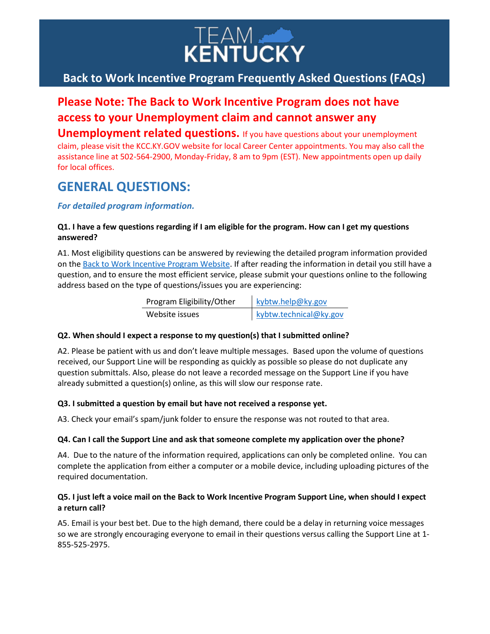

## **Back to Work Incentive Program Frequently Asked Questions (FAQs)**

# **Please Note: The Back to Work Incentive Program does not have access to your Unemployment claim and cannot answer any**

**Unemployment related questions.** If you have questions about your unemployment claim, please visit the KCC.KY.GOV website for local Career Center appointments. You may also call the assistance line at 502-564-2900, Monday-Friday, 8 am to 9pm (EST). New appointments open up daily for local offices.

## **GENERAL QUESTIONS:**

## *For detailed program information.*

### **Q1. I have a few questions regarding if I am eligible for the program. How can I get my questions answered?**

A1. Most eligibility questions can be answered by reviewing the detailed program information provided on th[e Back to Work Incentive Program](https://btw.ky.gov/) Website. If after reading the information in detail you still have a question, and to ensure the most efficient service, please submit your questions online to the following address based on the type of questions/issues you are experiencing:

| Program Eligibility/Other | kybtw.help@ky.gov      |
|---------------------------|------------------------|
| Website issues            | kybtw.technical@ky.gov |

#### **Q2. When should I expect a response to my question(s) that I submitted online?**

A2. Please be patient with us and don't leave multiple messages. Based upon the volume of questions received, our Support Line will be responding as quickly as possible so please do not duplicate any question submittals. Also, please do not leave a recorded message on the Support Line if you have already submitted a question(s) online, as this will slow our response rate.

## **Q3. I submitted a question by email but have not received a response yet.**

A3. Check your email's spam/junk folder to ensure the response was not routed to that area.

#### **Q4. Can I call the Support Line and ask that someone complete my application over the phone?**

A4. Due to the nature of the information required, applications can only be completed online. You can complete the application from either a computer or a mobile device, including uploading pictures of the required documentation.

## **Q5. I just left a voice mail on the Back to Work Incentive Program Support Line, when should I expect a return call?**

A5. Email is your best bet. Due to the high demand, there could be a delay in returning voice messages so we are strongly encouraging everyone to email in their questions versus calling the Support Line at 1- 855-525-2975.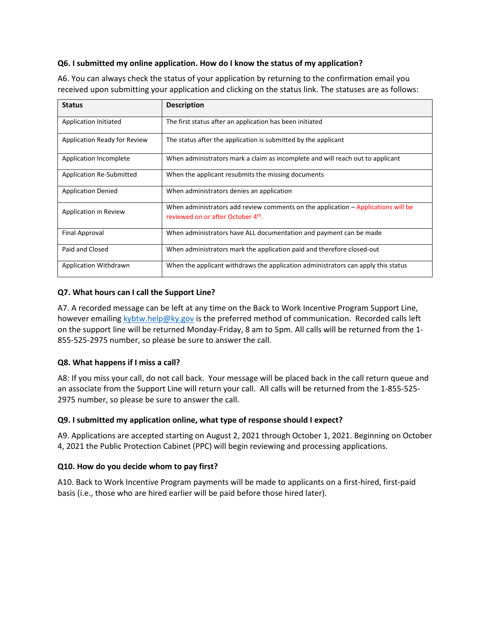#### **Q6. I submitted my online application. How do I know the status of my application?**

A6. You can always check the status of your application by returning to the confirmation email you received upon submitting your application and clicking on the status link. The statuses are as follows:

| <b>Status</b>                   | <b>Description</b>                                                                                                     |
|---------------------------------|------------------------------------------------------------------------------------------------------------------------|
| Application Initiated           | The first status after an application has been initiated                                                               |
| Application Ready for Review    | The status after the application is submitted by the applicant                                                         |
| Application Incomplete          | When administrators mark a claim as incomplete and will reach out to applicant                                         |
| <b>Application Re-Submitted</b> | When the applicant resubmits the missing documents                                                                     |
| <b>Application Denied</b>       | When administrators denies an application                                                                              |
| Application in Review           | When administrators add review comments on the application - Applications will be<br>reviewed on or after October 4th. |
| Final Approval                  | When administrators have ALL documentation and payment can be made                                                     |
| Paid and Closed                 | When administrators mark the application paid and therefore closed-out                                                 |
| <b>Application Withdrawn</b>    | When the applicant withdraws the application administrators can apply this status                                      |

## **Q7. What hours can I call the Support Line?**

A7. A recorded message can be left at any time on the Back to Work Incentive Program Support Line, however emailing [kybtw.help@ky.gov](mailto:kybtw.help@ky.gov) is the preferred method of communication. Recorded calls left on the support line will be returned Monday-Friday, 8 am to 5pm. All calls will be returned from the 1- 855-525-2975 number, so please be sure to answer the call.

## **Q8. What happens if I miss a call?**

A8: If you miss your call, do not call back. Your message will be placed back in the call return queue and an associate from the Support Line will return your call. All calls will be returned from the 1-855-525- 2975 number, so please be sure to answer the call.

#### **Q9. I submitted my application online, what type of response should I expect?**

A9. Applications are accepted starting on August 2, 2021 through October 1, 2021. Beginning on October 4, 2021 the Public Protection Cabinet (PPC) will begin reviewing and processing applications.

#### **Q10. How do you decide whom to pay first?**

A10. Back to Work Incentive Program payments will be made to applicants on a first-hired, first-paid basis (i.e., those who are hired earlier will be paid before those hired later).